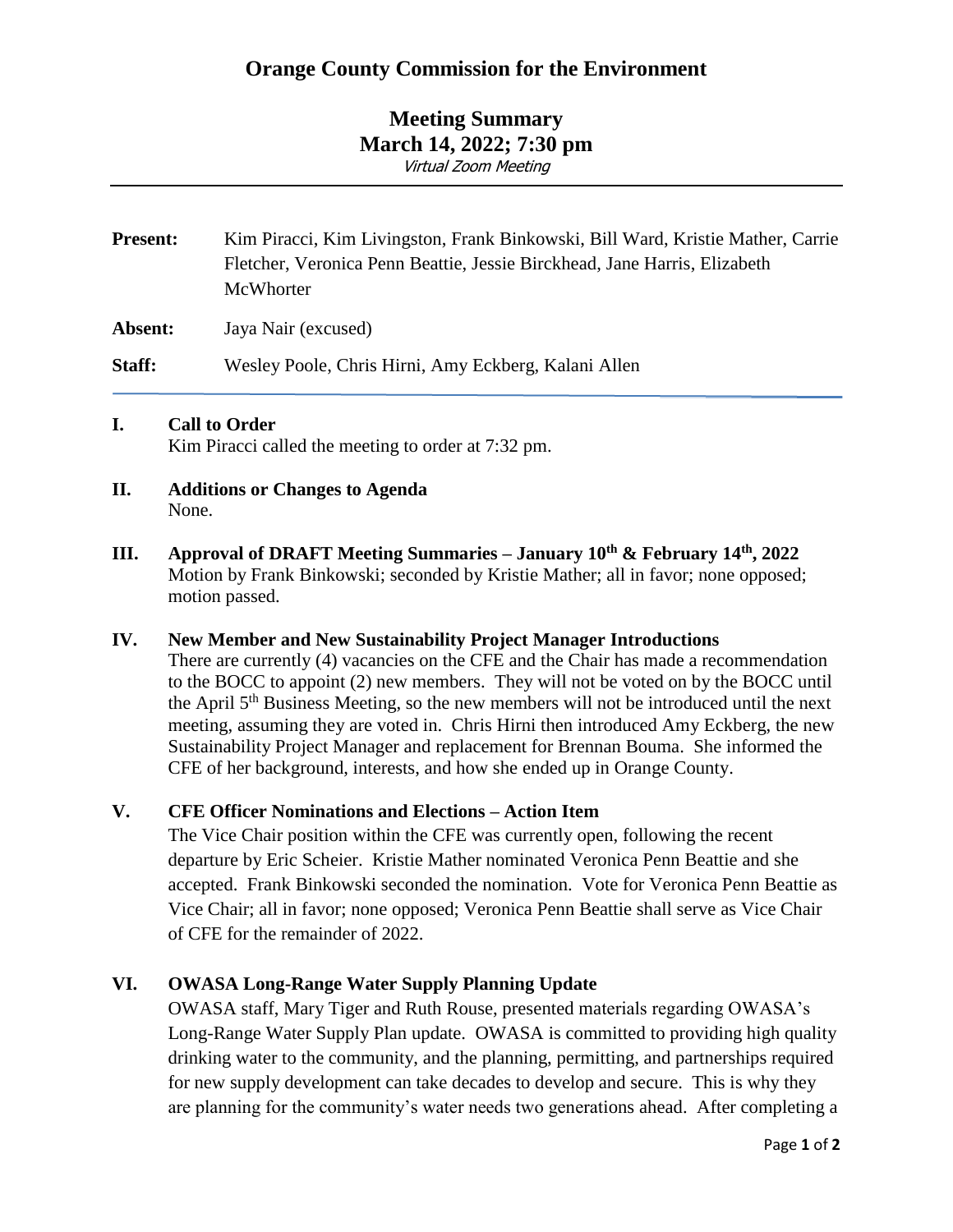# **Meeting Summary March 14, 2022; 7:30 pm** Virtual Zoom Meeting

| <b>Present:</b> | Kim Piracci, Kim Livingston, Frank Binkowski, Bill Ward, Kristie Mather, Carrie<br>Fletcher, Veronica Penn Beattie, Jessie Birckhead, Jane Harris, Elizabeth<br>McWhorter |
|-----------------|---------------------------------------------------------------------------------------------------------------------------------------------------------------------------|
| Absent:         | Jaya Nair (excused)                                                                                                                                                       |

**Staff:** Wesley Poole, Chris Hirni, Amy Eckberg, Kalani Allen

### **I. Call to Order**

Kim Piracci called the meeting to order at 7:32 pm.

- **II. Additions or Changes to Agenda** None.
- **III. Approval of DRAFT Meeting Summaries – January 10th & February 14th , 2022** Motion by Frank Binkowski; seconded by Kristie Mather; all in favor; none opposed; motion passed.

### **IV. New Member and New Sustainability Project Manager Introductions**

There are currently (4) vacancies on the CFE and the Chair has made a recommendation to the BOCC to appoint (2) new members. They will not be voted on by the BOCC until the April 5<sup>th</sup> Business Meeting, so the new members will not be introduced until the next meeting, assuming they are voted in. Chris Hirni then introduced Amy Eckberg, the new Sustainability Project Manager and replacement for Brennan Bouma. She informed the CFE of her background, interests, and how she ended up in Orange County.

### **V. CFE Officer Nominations and Elections – Action Item**

The Vice Chair position within the CFE was currently open, following the recent departure by Eric Scheier. Kristie Mather nominated Veronica Penn Beattie and she accepted. Frank Binkowski seconded the nomination. Vote for Veronica Penn Beattie as Vice Chair; all in favor; none opposed; Veronica Penn Beattie shall serve as Vice Chair of CFE for the remainder of 2022.

### **VI. OWASA Long-Range Water Supply Planning Update**

OWASA staff, Mary Tiger and Ruth Rouse, presented materials regarding OWASA's Long-Range Water Supply Plan update. OWASA is committed to providing high quality drinking water to the community, and the planning, permitting, and partnerships required for new supply development can take decades to develop and secure. This is why they are planning for the community's water needs two generations ahead. After completing a